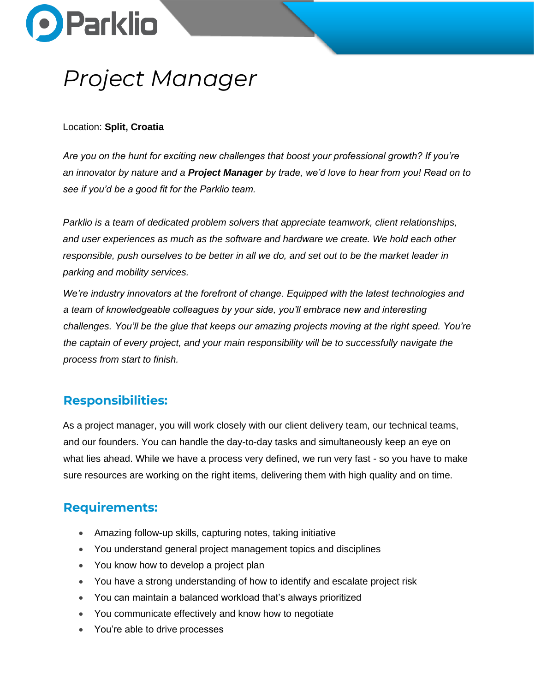

# *Project Manager*

#### Location: **Split, Croatia**

*Are you on the hunt for exciting new challenges that boost your professional growth? If you're an innovator by nature and a Project Manager by trade, we'd love to hear from you! Read on to see if you'd be a good fit for the Parklio team.*

*Parklio is a team of dedicated problem solvers that appreciate teamwork, client relationships, and user experiences as much as the software and hardware we create. We hold each other responsible, push ourselves to be better in all we do, and set out to be the market leader in parking and mobility services.*

*We're industry innovators at the forefront of change. Equipped with the latest technologies and a team of knowledgeable colleagues by your side, you'll embrace new and interesting challenges. You'll be the glue that keeps our amazing projects moving at the right speed. You're the captain of every project, and your main responsibility will be to successfully navigate the process from start to finish.*

## **Responsibilities:**

As a project manager, you will work closely with our client delivery team, our technical teams, and our founders. You can handle the day-to-day tasks and simultaneously keep an eye on what lies ahead. While we have a process very defined, we run very fast - so you have to make sure resources are working on the right items, delivering them with high quality and on time.

## **Requirements:**

- Amazing follow-up skills, capturing notes, taking initiative
- You understand general project management topics and disciplines
- You know how to develop a project plan
- You have a strong understanding of how to identify and escalate project risk
- You can maintain a balanced workload that's always prioritized
- You communicate effectively and know how to negotiate
- You're able to drive processes